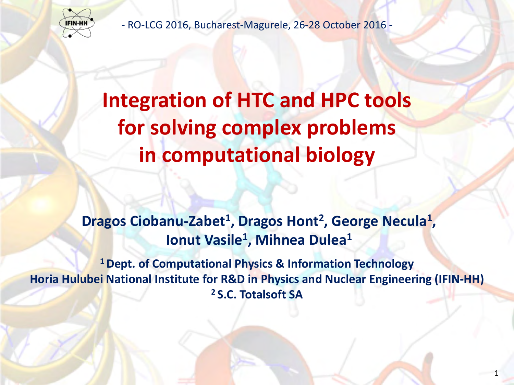

- RO-LCG 2016, Bucharest-Magurele, 26-28 October 2016 -

## **Integration of HTC and HPC tools for solving complex problems in computational biology**

## **Dragos Ciobanu-Zabet<sup>1</sup> , Dragos Hont<sup>2</sup> , George Necula<sup>1</sup> , Ionut Vasile<sup>1</sup> , Mihnea Dulea<sup>1</sup>**

**<sup>1</sup>Dept. of Computational Physics & Information Technology Horia Hulubei National Institute for R&D in Physics and Nuclear Engineering (IFIN-HH) <sup>2</sup>S.C. Totalsoft SA**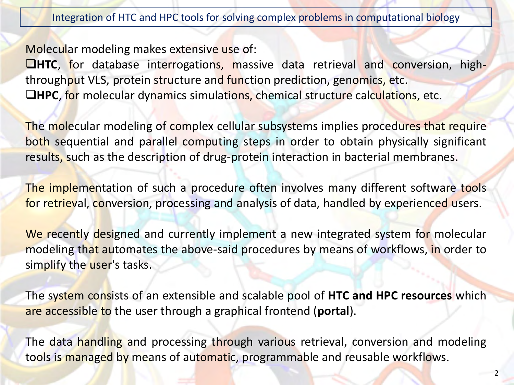Molecular modeling makes extensive use of:

**HTC**, for database interrogations, massive data retrieval and conversion, highthroughput VLS, protein structure and function prediction, genomics, etc. **HPC**, for molecular dynamics simulations, chemical structure calculations, etc.

The molecular modeling of complex cellular subsystems implies procedures that require both sequential and parallel computing steps in order to obtain physically significant results, such as the description of drug-protein interaction in bacterial membranes.

The implementation of such a procedure often involves many different software tools for retrieval, conversion, processing and analysis of data, handled by experienced users.

We recently designed and currently implement a new integrated system for molecular modeling that automates the above-said procedures by means of workflows, in order to simplify the user's tasks.

The system consists of an extensible and scalable pool of **HTC and HPC resources** which are accessible to the user through a graphical frontend (**portal**).

The data handling and processing through various retrieval, conversion and modeling tools is managed by means of automatic, programmable and reusable workflows.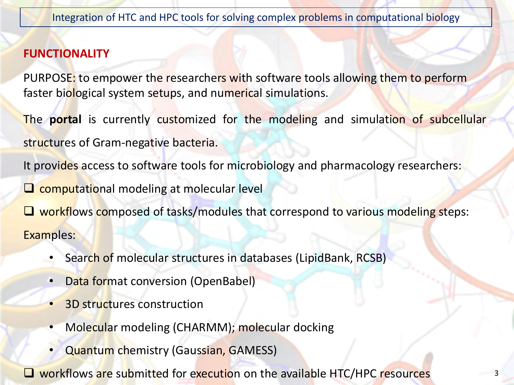## **FUNCTIONALITY**

PURPOSE: to empower the researchers with software tools allowing them to perform faster biological system setups, and numerical simulations.

The **portal** is currently customized for the modeling and simulation of subcellular structures of Gram-negative bacteria.

It provides access to software tools for microbiology and pharmacology researchers:

 $\Box$  computational modeling at molecular level

 $\Box$  workflows composed of tasks/modules that correspond to various modeling steps: Examples:

- Search of molecular structures in databases (LipidBank, RCSB)
- Data format conversion (OpenBabel)
- **3D structures construction**
- Molecular modeling (CHARMM); molecular docking
- Quantum chemistry (Gaussian, GAMESS)

**Q** workflows are submitted for execution on the available HTC/HPC resources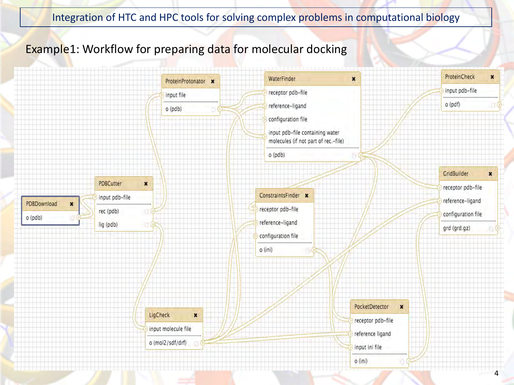## Example1: Workflow for preparing data for molecular docking

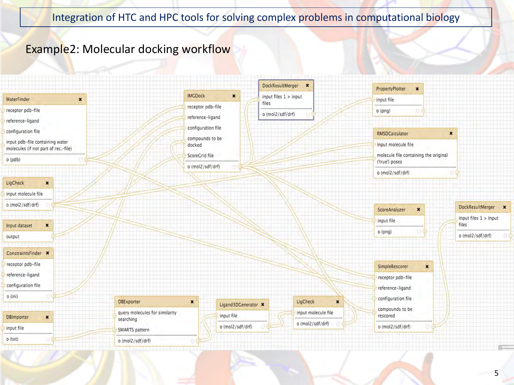## Example2: Molecular docking workflow

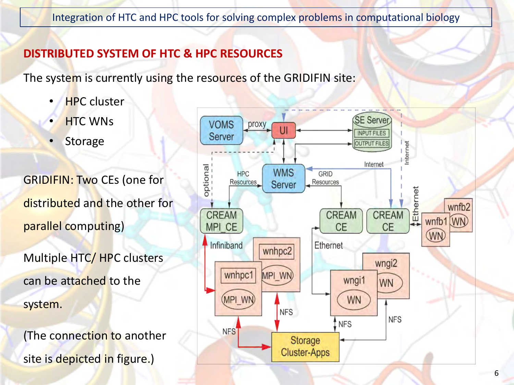## **DISTRIBUTED SYSTEM OF HTC & HPC RESOURCES**

The system is currently using the resources of the GRIDIFIN site:

- **HPC** cluster
- HTC WNs
- **Storage**

GRIDIFIN: Two CEs (one for distributed and the other for parallel computing)

Multiple HTC/ HPC clusters can be attached to the system.

(The connection to another site is depicted in figure.)

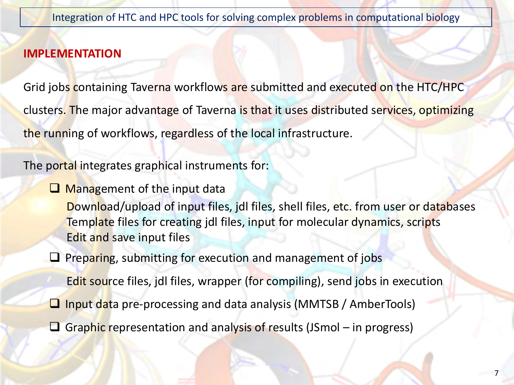## **IMPLEMENTATION**

Grid jobs containing Taverna workflows are submitted and executed on the HTC/HPC clusters. The major advantage of Taverna is that it uses distributed services, optimizing the running of workflows, regardless of the local infrastructure.

The portal integrates graphical instruments for:

**Q** Management of the input data

Download/upload of input files, jdl files, shell files, etc. from user or databases Template files for creating jdl files, input for molecular dynamics, scripts Edit and save input files

 $\Box$  Preparing, submitting for execution and management of jobs

Edit source files, jdl files, wrapper (for compiling), send jobs in execution

- **Q** Input data pre-processing and data analysis (MMTSB / AmberTools)
- Graphic representation and analysis of results (JSmol in progress)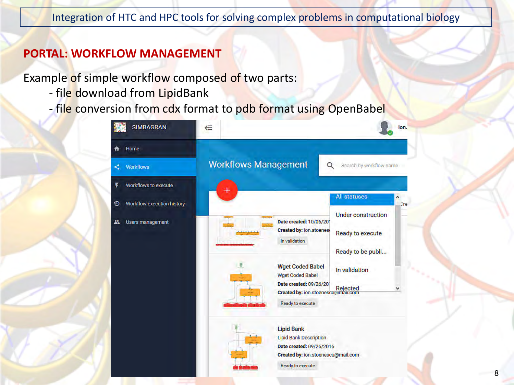## **PORTAL: WORKFLOW MANAGEMENT**

Example of simple workflow composed of two parts:

- file download from LipidBank
- file conversion from cdx format to pdb format using OpenBabel



**Ready to execute**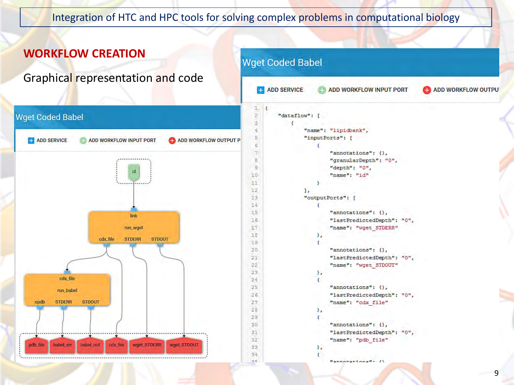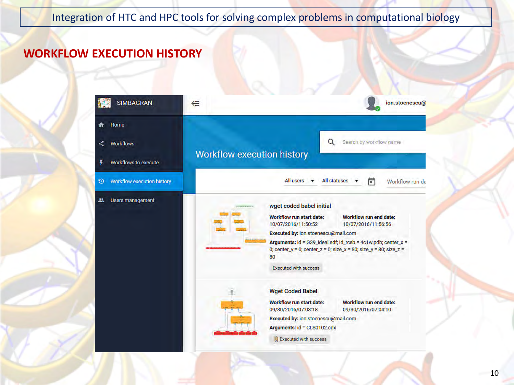## **WORKFLOW EXECUTION HISTORY**

| <b>SIMBAGRAN</b>                 | ion.stoenescu@<br>⋲                                                                                     |
|----------------------------------|---------------------------------------------------------------------------------------------------------|
| Home                             |                                                                                                         |
| <b>Workflows</b><br>⋖            | Search by workflow name<br>Q                                                                            |
| ₡<br><b>Workflows to execute</b> | Workflow execution history                                                                              |
| Workflow execution history<br>Đ  | All statuses<br>All users<br>同<br>Workflow run da                                                       |
| <b>Users management</b><br>22.   | wget coded babel initial                                                                                |
|                                  | <b>Workflow run end date:</b><br>Workflow run start date:                                               |
|                                  | 10/07/2016/11:50:52<br>10/07/2016/11:56:56<br>Executed by: ion.stoenescu@mail.com                       |
|                                  | Arguments: id = G39_ideal.sdf; id_rcsb = 4c1w.pdb; center_x =                                           |
|                                  | 0; center_y = 0; center_z = 0; size_x = 80; size_y = 80; size_z =<br>80                                 |
|                                  | <b>Executed with success</b>                                                                            |
|                                  | <b>Wget Coded Babel</b>                                                                                 |
|                                  | Workflow run end date:<br><b>Workflow run start date:</b><br>09/30/2016/07:03:18<br>09/30/2016/07:04:10 |
|                                  | Executed by: ion.stoenescu@mail.com                                                                     |
|                                  | Arguments: id = CLS0102.cdx                                                                             |
|                                  | U Executed with success                                                                                 |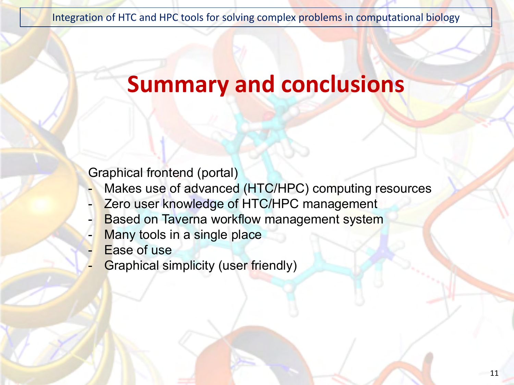## **Summary and conclusions**

Graphical frontend (portal)

- Makes use of advanced (HTC/HPC) computing resources
- Zero user knowledge of HTC/HPC management
- **Based on Taverna workflow management system**
- Many tools in a single place
- Ease of use
- Graphical simplicity (user friendly)